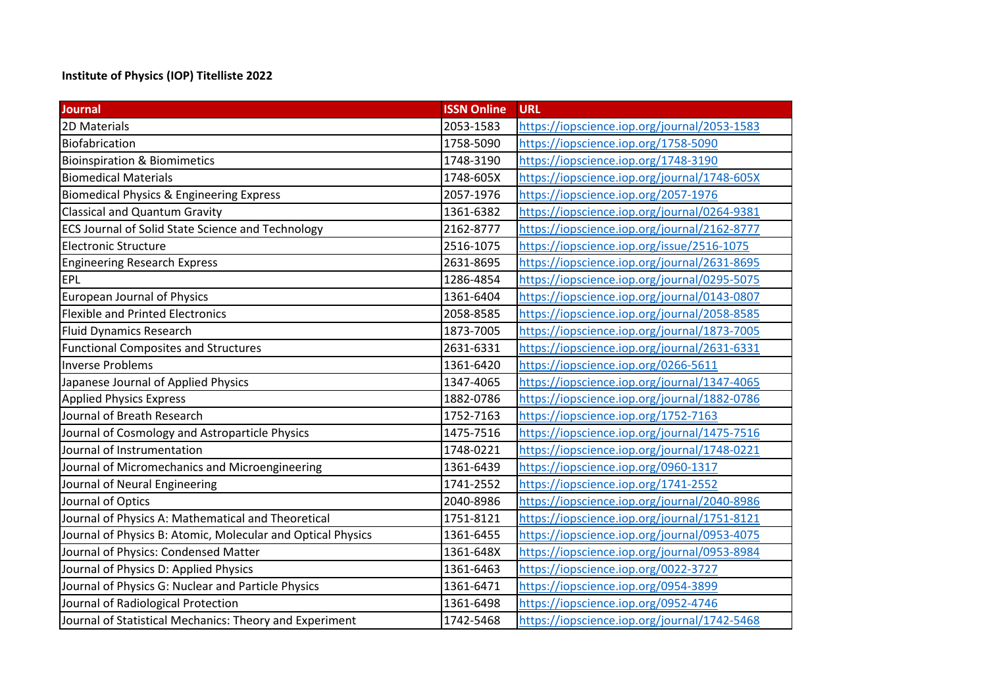## **Institute of Physics (IOP) Titelliste 2022**

| <b>Journal</b>                                              | <b>ISSN Online</b> | <b>URL</b>                                   |
|-------------------------------------------------------------|--------------------|----------------------------------------------|
| 2D Materials                                                | 2053-1583          | https://iopscience.iop.org/journal/2053-1583 |
| Biofabrication                                              | 1758-5090          | https://iopscience.iop.org/1758-5090         |
| <b>Bioinspiration &amp; Biomimetics</b>                     | 1748-3190          | https://iopscience.iop.org/1748-3190         |
| <b>Biomedical Materials</b>                                 | 1748-605X          | https://iopscience.iop.org/journal/1748-605X |
| <b>Biomedical Physics &amp; Engineering Express</b>         | 2057-1976          | https://iopscience.iop.org/2057-1976         |
| <b>Classical and Quantum Gravity</b>                        | 1361-6382          | https://iopscience.iop.org/journal/0264-9381 |
| <b>ECS Journal of Solid State Science and Technology</b>    | 2162-8777          | https://iopscience.iop.org/journal/2162-8777 |
| <b>Electronic Structure</b>                                 | 2516-1075          | https://iopscience.iop.org/issue/2516-1075   |
| <b>Engineering Research Express</b>                         | 2631-8695          | https://iopscience.iop.org/journal/2631-8695 |
| EPL                                                         | 1286-4854          | https://iopscience.iop.org/journal/0295-5075 |
| <b>European Journal of Physics</b>                          | 1361-6404          | https://iopscience.iop.org/journal/0143-0807 |
| <b>Flexible and Printed Electronics</b>                     | 2058-8585          | https://iopscience.iop.org/journal/2058-8585 |
| <b>Fluid Dynamics Research</b>                              | 1873-7005          | https://iopscience.iop.org/journal/1873-7005 |
| <b>Functional Composites and Structures</b>                 | 2631-6331          | https://iopscience.iop.org/journal/2631-6331 |
| <b>Inverse Problems</b>                                     | 1361-6420          | https://iopscience.iop.org/0266-5611         |
| Japanese Journal of Applied Physics                         | 1347-4065          | https://iopscience.iop.org/journal/1347-4065 |
| <b>Applied Physics Express</b>                              | 1882-0786          | https://iopscience.iop.org/journal/1882-0786 |
| Journal of Breath Research                                  | 1752-7163          | https://iopscience.iop.org/1752-7163         |
| Journal of Cosmology and Astroparticle Physics              | 1475-7516          | https://iopscience.iop.org/journal/1475-7516 |
| Journal of Instrumentation                                  | 1748-0221          | https://iopscience.iop.org/journal/1748-0221 |
| Journal of Micromechanics and Microengineering              | 1361-6439          | https://iopscience.iop.org/0960-1317         |
| Journal of Neural Engineering                               | 1741-2552          | https://iopscience.iop.org/1741-2552         |
| Journal of Optics                                           | 2040-8986          | https://iopscience.iop.org/journal/2040-8986 |
| Journal of Physics A: Mathematical and Theoretical          | 1751-8121          | https://iopscience.iop.org/journal/1751-8121 |
| Journal of Physics B: Atomic, Molecular and Optical Physics | 1361-6455          | https://iopscience.iop.org/journal/0953-4075 |
| Journal of Physics: Condensed Matter                        | 1361-648X          | https://iopscience.iop.org/journal/0953-8984 |
| Journal of Physics D: Applied Physics                       | 1361-6463          | https://iopscience.iop.org/0022-3727         |
| Journal of Physics G: Nuclear and Particle Physics          | 1361-6471          | https://iopscience.iop.org/0954-3899         |
| Journal of Radiological Protection                          | 1361-6498          | https://iopscience.iop.org/0952-4746         |
| Journal of Statistical Mechanics: Theory and Experiment     | 1742-5468          | https://iopscience.iop.org/journal/1742-5468 |